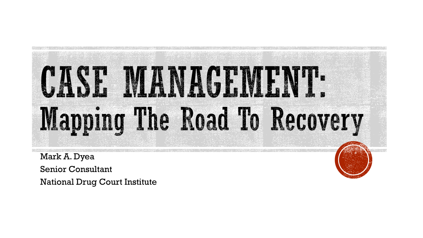# CASE MANAGEM Mapping The Road To Recovery

Mark A. Dyea Senior Consultant

National Drug Court Institute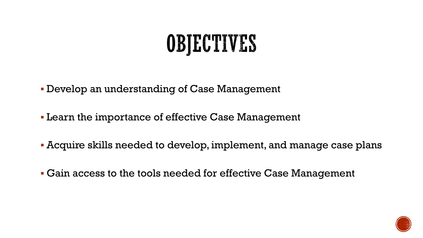# OBJECTIVES

- Develop an understanding of Case Management
- **Learn the importance of effective Case Management**
- Acquire skills needed to develop, implement, and manage case plans
- Gain access to the tools needed for effective Case Management

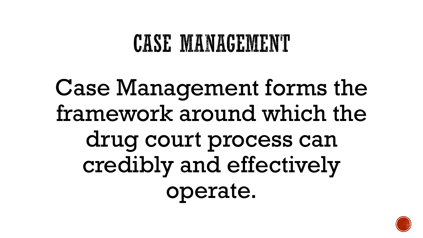### CASE MANAGEMENT

# Case Management forms the framework around which the drug court process can credibly and effectively operate.

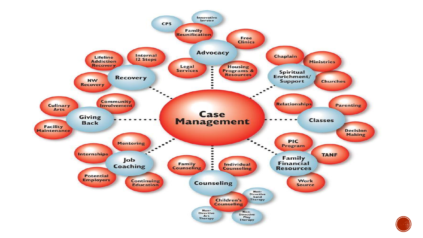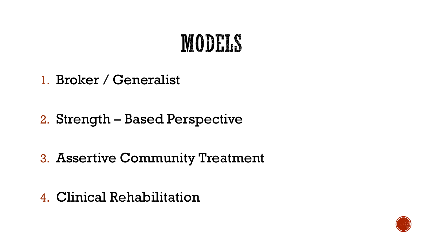## MODELS

1. Broker / Generalist

- 2. Strength Based Perspective
- 3. Assertive Community Treatment

4. Clinical Rehabilitation

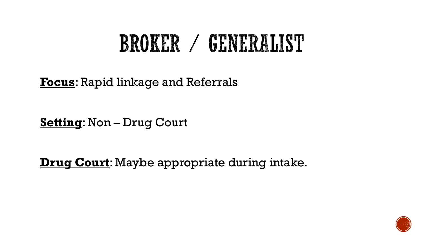# **BROKER / GENERALIST**

**Focus**: Rapid linkage and Referrals

**Setting**: Non – Drug Court

**Drug Court**: Maybe appropriate during intake.

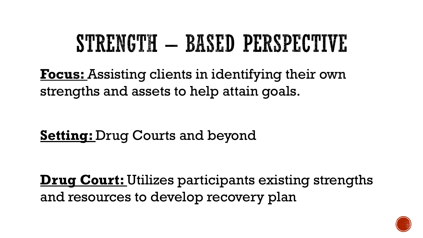# STRENGTH — BASED PERSPECTIVE

**Focus:** Assisting clients in identifying their own strengths and assets to help attain goals.

**Setting:** Drug Courts and beyond

**Drug Court:** Utilizes participants existing strengths and resources to develop recovery plan

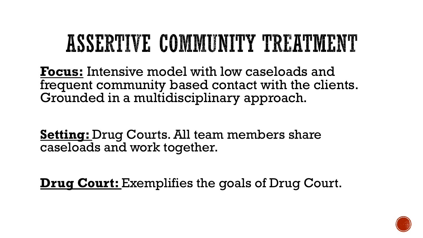# ASSERTIVE COMMUNITY TREATMENT

**Focus:** Intensive model with low caseloads and frequent community based contact with the clients. Grounded in a multidisciplinary approach.

**Setting:** Drug Courts. All team members share caseloads and work together.

**Drug Court:** Exemplifies the goals of Drug Court.

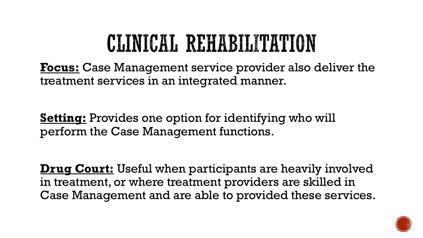# CLINICAL REHABILITATION

**Focus:** Case Management service provider also deliver the treatment services in an integrated manner.

**Setting:** Provides one option for identifying who will perform the Case Management functions.

**Drug Court:** Useful when participants are heavily involved in treatment, or where treatment providers are skilled in Case Management and are able to provided these services.

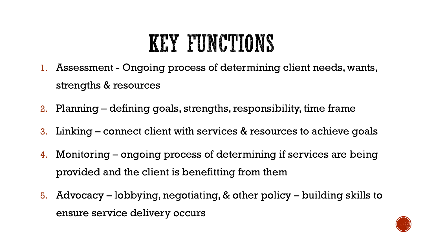# KEY FUNCTIONS

- 1. Assessment Ongoing process of determining client needs, wants, strengths & resources
- 2. Planning defining goals, strengths, responsibility, time frame
- 3. Linking connect client with services & resources to achieve goals
- 4. Monitoring ongoing process of determining if services are being provided and the client is benefitting from them
- 5. Advocacy lobbying, negotiating, & other policy building skills to ensure service delivery occurs

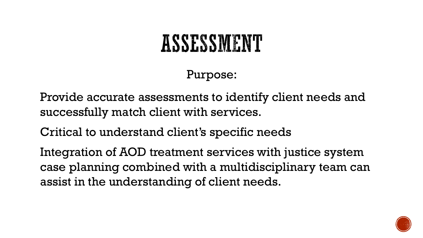### Purpose:

Provide accurate assessments to identify client needs and successfully match client with services.

Critical to understand client's specific needs

Integration of AOD treatment services with justice system case planning combined with a multidisciplinary team can assist in the understanding of client needs.

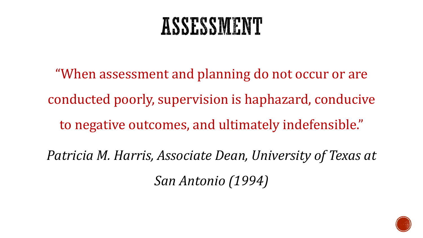"When assessment and planning do not occur or are conducted poorly, supervision is haphazard, conducive to negative outcomes, and ultimately indefensible." *Patricia M. Harris, Associate Dean, University of Texas at San Antonio (1994)*

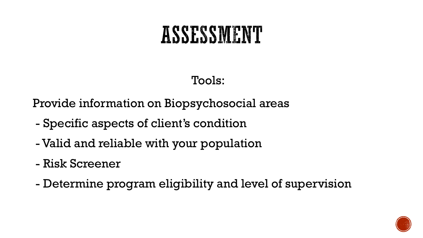#### Tools:

Provide information on Biopsychosocial areas

- Specific aspects of client's condition
- Valid and reliable with your population
- Risk Screener
- Determine program eligibility and level of supervision

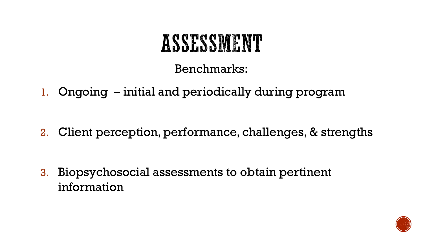#### Benchmarks:

1. Ongoing – initial and periodically during program

2. Client perception, performance, challenges, & strengths

3. Biopsychosocial assessments to obtain pertinent information

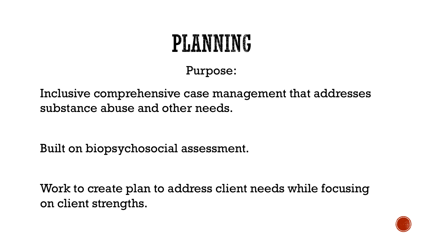# PLANNING

Purpose:

Inclusive comprehensive case management that addresses substance abuse and other needs.

Built on biopsychosocial assessment.

Work to create plan to address client needs while focusing on client strengths.

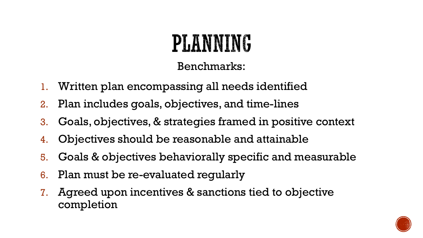# **PLANNING**

Benchmarks:

- 1. Written plan encompassing all needs identified
- 2. Plan includes goals, objectives, and time-lines
- 3. Goals, objectives, & strategies framed in positive context
- 4. Objectives should be reasonable and attainable
- 5. Goals & objectives behaviorally specific and measurable
- 6. Plan must be re-evaluated regularly
- 7. Agreed upon incentives & sanctions tied to objective completion

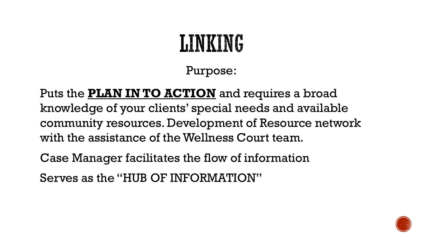# **LINKING**

Purpose:

Puts the **PLAN IN TO ACTION** and requires a broad knowledge of your clients' special needs and available community resources. Development of Resource network with the assistance of the Wellness Court team.

Case Manager facilitates the flow of information

Serves as the "HUB OF INFORMATION"

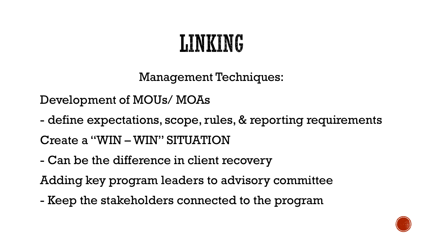# LINKING

Management Techniques:

Development of MOUs/ MOAs

- define expectations, scope, rules, & reporting requirements Create a "WIN – WIN" SITUATION
- Can be the difference in client recovery

Adding key program leaders to advisory committee

- Keep the stakeholders connected to the program

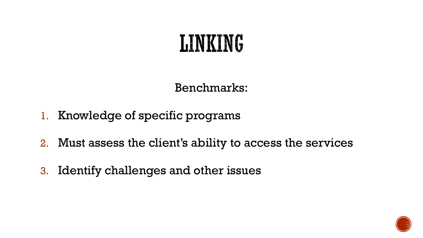### LINKING

Benchmarks:

- 1. Knowledge of specific programs
- 2. Must assess the client's ability to access the services
- 3. Identify challenges and other issues

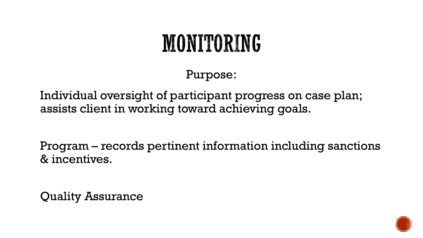# MONITORING

Purpose:

Individual oversight of participant progress on case plan; assists client in working toward achieving goals.

Program – records pertinent information including sanctions & incentives.

Quality Assurance

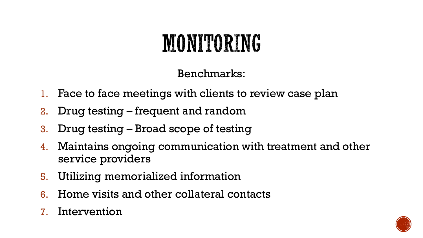# MONITORING

Benchmarks:

- 1. Face to face meetings with clients to review case plan
- 2. Drug testing frequent and random
- 3. Drug testing Broad scope of testing
- 4. Maintains ongoing communication with treatment and other service providers
- 5. Utilizing memorialized information
- 6. Home visits and other collateral contacts
- 7. Intervention

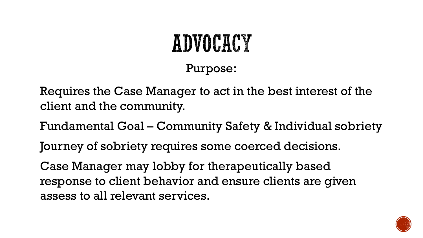### ADVOCACY Purpose:

Requires the Case Manager to act in the best interest of the client and the community.

Fundamental Goal – Community Safety & Individual sobriety

Journey of sobriety requires some coerced decisions.

Case Manager may lobby for therapeutically based response to client behavior and ensure clients are given assess to all relevant services.

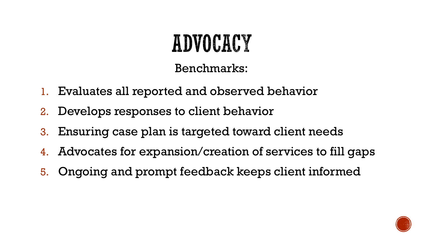# ADVOCACY

#### Benchmarks:

- 1. Evaluates all reported and observed behavior
- 2. Develops responses to client behavior
- 3. Ensuring case plan is targeted toward client needs
- 4. Advocates for expansion/creation of services to fill gaps
- 5. Ongoing and prompt feedback keeps client informed

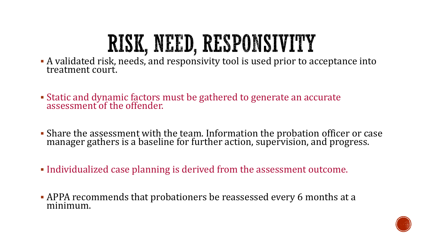# RISK, NEED, RESPONSIVITY

- A validated risk, needs, and responsivity tool is used prior to acceptance into treatment court.
- **Exatic and dynamic factors must be gathered to generate an accurate** assessment of the offender.
- **Share the assessment with the team. Information the probation officer or case** manager gathers is a baseline for further action, supervision, and progress.
- Individualized case planning is derived from the assessment outcome.
- APPA recommends that probationers be reassessed every 6 months at a minimum.

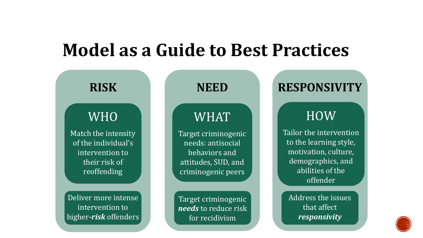### **Model as a Guide to Best Practices**



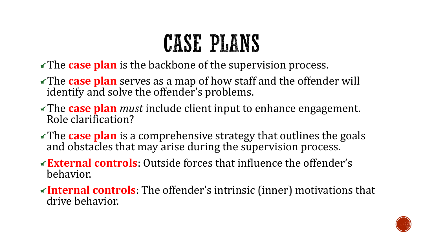# CASE PLANS

- The **case plan** is the backbone of the supervision process.
- The **case plan** serves as a map of how staff and the offender will identify and solve the offender's problems.
- The **case plan** *must* include client input to enhance engagement. Role clarification?
- The **case plan** is a comprehensive strategy that outlines the goals and obstacles that may arise during the supervision process.
- **External controls**: Outside forces that influence the offender's behavior.
- **Internal controls**: The offender's intrinsic (inner) motivations that drive behavior.

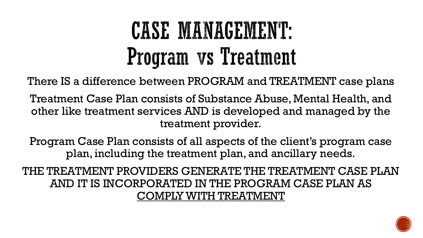# CASE MANAGEMENT: Program vs Treatment

There IS a difference between PROGRAM and TREATMENT case plans

Treatment Case Plan consists of Substance Abuse, Mental Health, and other like treatment services AND is developed and managed by the treatment provider.

Program Case Plan consists of all aspects of the client's program case plan, including the treatment plan, and ancillary needs.

THE TREATMENT PROVIDERS GENERATE THE TREATMENT CASE PLAN AND IT IS INCORPORATED IN THE PROGRAM CASE PLAN AS COMPLY WITH TREATMENT

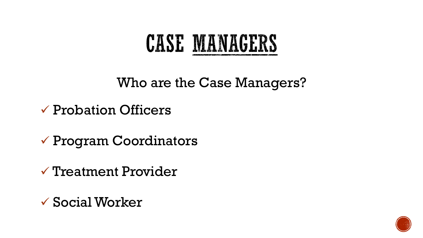### CASE MANAGERS

Who are the Case Managers?

- ✓ Probation Officers
- $\checkmark$  Program Coordinators
- ✓ Treatment Provider
- ✓ SocialWorker

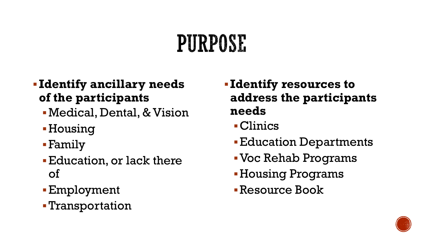# PURPOSE

- **Identify ancillary needs of the participants**
	- **Medical, Dental, & Vision**
	- **E**Housing
	- ▪Family
	- **Education, or lack there** of
	- ▪Employment
	- ▪Transportation
- **Identify resources to address the participants needs**
	- ▪Clinics
	- **Education Departments**
	- ▪Voc Rehab Programs
	- **Housing Programs**
	- ▪Resource Book

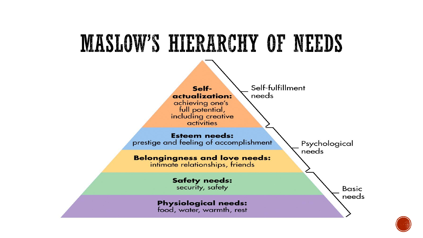

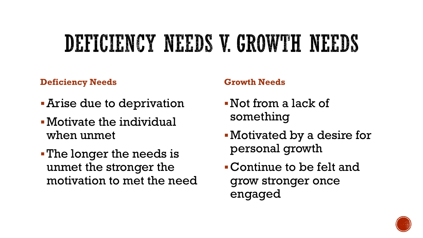# DEFICIENCY NEEDS V. GROWTH NEEDS

#### **Deficiency Needs**

- **-Arise due to deprivation**
- ▪Motivate the individual when unmet
- **The longer the needs is** unmet the stronger the motivation to met the need

#### **Growth Needs**

- ▪Not from a lack of something
- ▪Motivated by a desire for personal growth
- ▪Continue to be felt and grow stronger once engaged

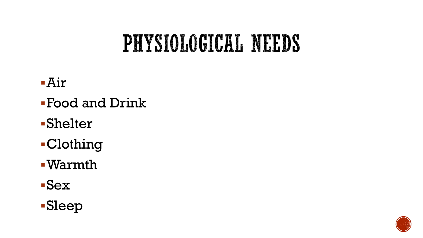# PHYSIOLOGICAL NEEDS

- $-Air$
- ▪Food and Drink
- ▪Shelter
- ▪Clothing
- ▪Warmth
- ▪Sex

### ▪Sleep

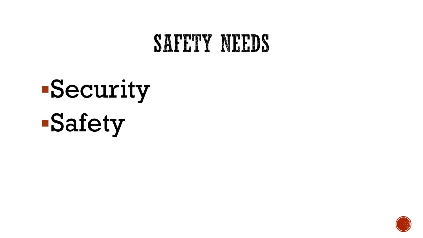### SAPETY NEEDS

# ▪Security ▪Safety

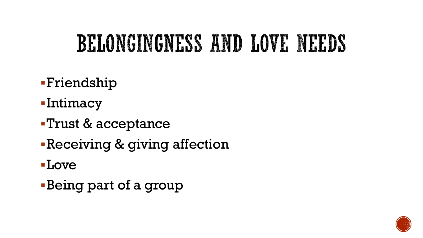# BELONGINGNESS AND LOVE NEEDS

- ▪Friendship
- ▪Intimacy
- ▪Trust & acceptance
- **Receiving & giving affection**
- ▪Love
- **Being part of a group**

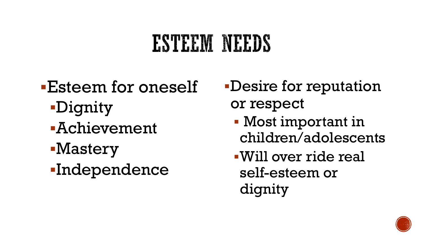# ESTEEM NEEDS

**Esteem for oneself** ▪Dignity ▪Achievement ▪Mastery ▪Independence

- ▪Desire for reputation or respect
	- Most important in children/adolescents
	- ▪Will over ride real self-esteem or dignity

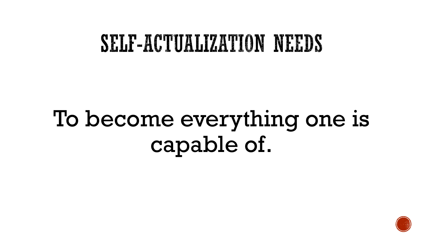### SELF-ACTUALIZATION NEEDS

# To become everything one is capable of.

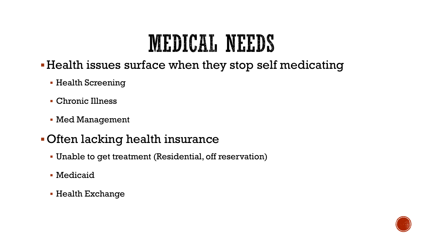# MEDICAL NEEDS

- ▪Health issues surface when they stop self medicating
	- **Health Screening**
	- Chronic Illness
	- Med Management

#### ▪Often lacking health insurance

- Unable to get treatment (Residential, off reservation)
- **Medicaid**
- Health Exchange

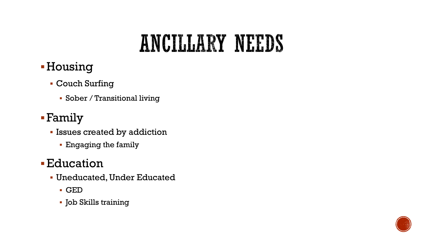## ANCILLARY NEEDS

### **-Housing**

- Couch Surfing
	- Sober / Transitional living

#### ▪Family

- Issues created by addiction
	- Engaging the family

### **Education**

- Uneducated, Under Educated
	- GED
	- Job Skills training

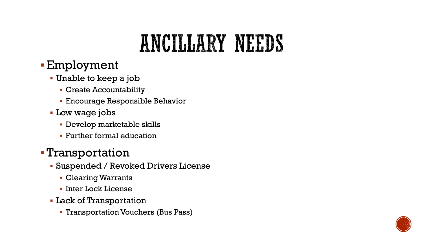# ANCILLARY NEEDS

#### ▪Employment

- Unable to keep a job
	- Create Accountability
	- **Encourage Responsible Behavior**
- **Low wage jobs** 
	- Develop marketable skills
	- **Further formal education**

#### ▪Transportation

- Suspended / Revoked Drivers License
	- Clearing Warrants
	- **· Inter Lock License**
- **Lack of Transportation** 
	- **Transportation Vouchers (Bus Pass)**

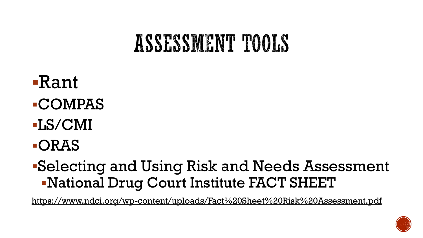### ASSESSMENT TOOLS

- ▪Rant ▪COMPAS
- ▪LS/CMI
- ▪ORAS

### ▪Selecting and Using Risk and Needs Assessment ▪National Drug Court Institute FACT SHEET

[https://www.ndci.org/wp-content/uploads/Fact%20Sheet%20Risk%20Assessment.pdf](https://www.ndci.org/wp-content/uploads/Fact Sheet Risk Assessment.pdf)